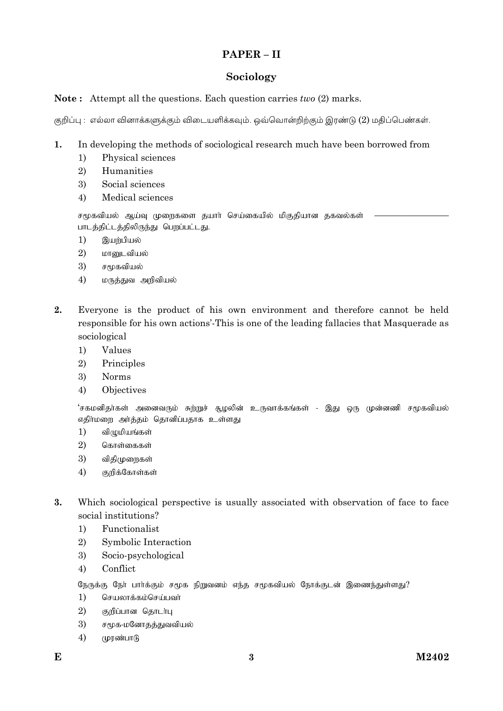# $PAPER - II$

# Sociology

## **Note:** Attempt all the questions. Each question carries *two* (2) marks.

குறிப்பு : எல்லா வினாக்களுக்கும் விடையளிக்கவும். ஒவ்வொன்றிற்கும் இரண்டு (2) மதிப்பெண்கள்.

- In developing the methods of sociological research much have been borrowed from 1.
	- Physical sciences  $1)$
	- $2)$ Humanities
	- 3) Social sciences
	- $4)$ Medical sciences

சமூகவியல் ஆய்வு முறைகளை தயாா் செய்கையில் மிகுதியான தகவல்கள் பாடத்திட்டத்திலிருந்து பெறப்பட்டது.

- $1)$ இயற்பியல்
- 2) மானுடவியல்
- 3) சமூகவியல்
- $4)$ மருத்துவ அறிவியல்
- $2.$ Everyone is the product of his own environment and therefore cannot be held responsible for his own actions'-This is one of the leading fallacies that Masquerade as sociological
	- Values  $1)$
	- 2) Principles
	- 3) **Norms**
	- Objectives  $4)$

'சகமனிதா்கள் அனைவரும் சுற்றுச் சூழலின் உருவாக்கங்கள் - இது ஒரு முன்னணி சமூகவியல் எதிா்மறை அா்த்தம் தொனிப்பதாக உள்ளது

- $1)$ விழுமியங்கள்
- 2) கொள்கைகள்
- $\mathcal{E}$ விகிமுறைகள்
- $4)$ குறிக்கோள்கள்
- $3.$ Which sociological perspective is usually associated with observation of face to face social institutions?
	- $1)$ Functionalist
	- $\overline{2}$ Symbolic Interaction
	- 3) Socio-psychological
	- Conflict 4)

நேருக்கு நோ் பாா்க்கும் சமூக நிறுவனம் எந்த சமூகவியல் நோக்குடன் இணைந்துள்ளது?

- செயலாக்கம்செய்பவா்  $1)$
- 2) குறிப்பான தொடர்பு
- 3) சமூக-மனோதத்துவவியல்
- $4)$ முரண்பாடு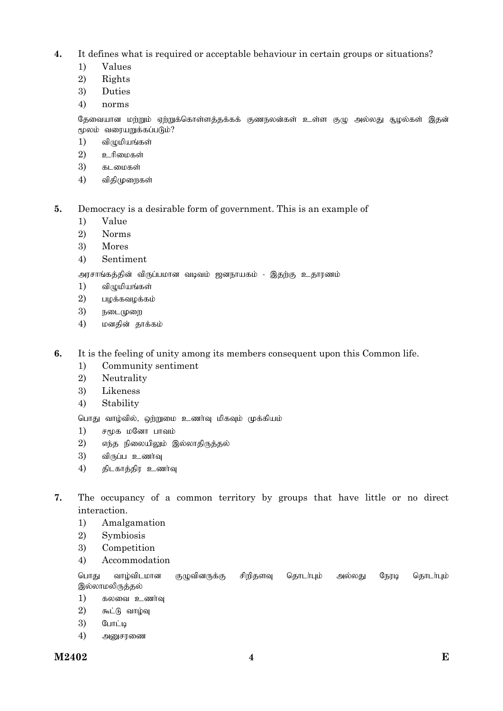- **4.** It defines what is required or acceptable behaviour in certain groups or situations?
	- 1) Values
	- 2) Rights
	- 3) Duties
	- 4) norms

தேவையான மற்றும் ஏற்றுக்கொள்ளத்தக்கக் குணநலன்கள் உள்ள குழு அல்லது சூழல்கள் இதன் மூலம் வரையறுக்கப்படும்?

- $1)$  விழுமியங்கள்
- $2)$  உரிமைகள்
- $3)$  கடமைகள்
- $4$ ) விதிமுறைகள்
- **5.** Democracy is a desirable form of government. This is an example of
	- 1) Value
	- 2) Norms
	- 3) Mores
	- 4) Sentiment

அரசாங்கத்தின் விருப்பமான வடிவம் ஜனநாயகம் - இதற்கு உதாரணம்

- $1)$  விமுமியங்கள்
- $2)$  பழக்கவழக்கம்
- $3)$  நடைமுறை
- 4) மனதின் தாக்கம்
- **6.** It is the feeling of unity among its members consequent upon this Common life.
	- 1) Community sentiment
	- 2) Neutrality
	- 3) Likeness
	- 4) Stability

பொது வாழ்வில், ஒற்றுமை உணர்வு மிகவும் முக்கியம்

- $1)$   $\sigma$   $\epsilon$ மக மனோ பாவம்
- $2$ ) எந்த நிலையிலும் இல்லாதிருத்தல்
- $3)$  விருப்ப உணர்வு
- $4$ ) திடகாத்திர உணர்வு
- **7.** The occupancy of a common territory by groups that have little or no direct interaction.
	- 1) Amalgamation
	- 2) Symbiosis
	- 3) Competition
	- 4) Accommodation

பொது வாழ்விடமான குழுவினருக்கு சிறிதளவு தொடர்பும் அல்லது நேரடி தொடர்பும் இல்லாமலிருத்தல்

- $1)$  கலவை உணர்வு
- $2)$  கூட்டு வாழ்வு
- $3)$   $\mathcal{G}_{\text{LITL}}$ iq
- $4)$  அனுசரணை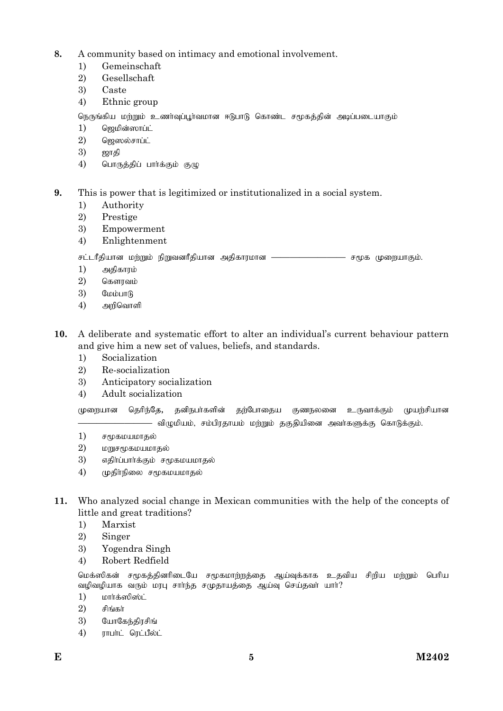- **8.** A community based on intimacy and emotional involvement.
	- 1) Gemeinschaft
	- 2) Gesellschaft
	- 3) Caste
	- 4) Ethnic group

நெருங்கிய மற்றும் உணர்வப்பர்வமான ஈடுபாடு கொண்ட சமூகக்கின் அடிப்படையாகம்

- $1)$  தெமின்ஸாப்ட்
- $2)$  தெஸல்சாப்ட்
- $3)$  ஜாதி
- $4$ ) பொருத்திப் பார்க்கும் குழு

## **9.** This is power that is legitimized or institutionalized in a social system.

- 1) Authority
- 2) Prestige
- 3) Empowerment
- 4) Enlightenment

rl;lhPjpahd kw;Wk; epWtdhPjpahd mjpfhukhd ———————— r%f KiwahFk;.

- 1) அதிகாரம்
- $2)$  கௌரவம்
- $3)$  **CLOLOTION**
- $4)$  அறிவொளி
- **10.** A deliberate and systematic effort to alter an individual's current behaviour pattern and give him a new set of values, beliefs, and standards.
	- 1) Socialization
	- 2) Re-socialization
	- 3) Anticipatory socialization
	- 4) Adult socialization

முறையான தெரிந்தே, தனிநபா்களின் தற்போதைய குணநலனை உருவாக்கும் முயற்சியான — விழுமியம், சம்பிரதாயம் மற்றும் தகுதியினை அவா்களுக்கு கொடுக்கும்.

- $1)$  ச $\epsilon$ மகமயமாகல்
- $2)$  மறுசமுகமயமாதல்
- 3) எகிர்ப்பார்க்கும் சமூகமயமாகல்
- $4)$  முதிர்நிலை சமூகமயமாதல்
- **11.** Who analyzed social change in Mexican communities with the help of the concepts of little and great traditions?
	- 1) Marxist
	- 2) Singer
	- 3) Yogendra Singh
	- 4) Robert Redfield

மெக்ஸிகன் சமூகத்தினரிடையே சமூகமாற்றத்தை ஆய்வுக்காக உதவிய சிறிய மற்றும் பெரிய வழிவழியாக வரும் மரபு சாா்ந்த சமுதாயத்தை ஆய்வு செய்தவா் யாா்?

- $1)$  பார்க்ஸிஸ்ட்
- $2)$  சிங்கா்
- $3)$  போகேந்கிரசிங்
- $4)$   $\overline{\phantom{a}}$   $\overline{\phantom{a}}$   $\overline{\phantom{a}}$   $\overline{\phantom{a}}$   $\overline{\phantom{a}}$   $\overline{\phantom{a}}$   $\overline{\phantom{a}}$   $\overline{\phantom{a}}$   $\overline{\phantom{a}}$   $\overline{\phantom{a}}$   $\overline{\phantom{a}}$   $\overline{\phantom{a}}$   $\overline{\phantom{a}}$   $\overline{\phantom{a}}$   $\overline{\phantom{a}}$   $\overline{\phantom{a}}$   $\overline{\phantom{a}}$   $\overline{\phantom{a}}$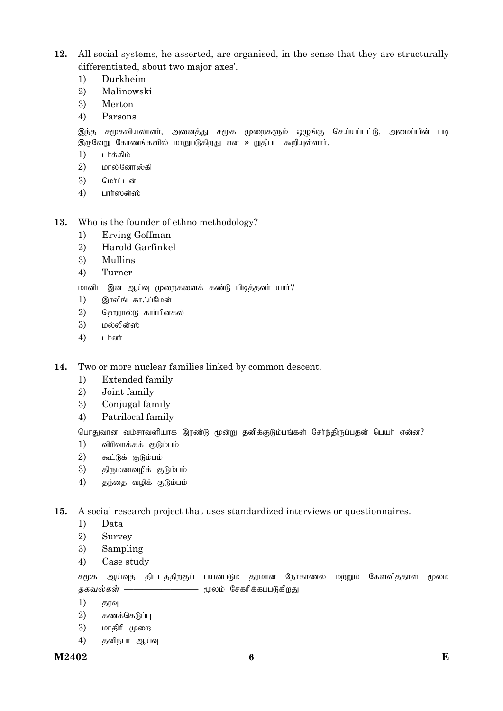- **12.** All social systems, he asserted, are organised, in the sense that they are structurally differentiated, about two major axes'.
	- 1) Durkheim
	- 2) Malinowski
	- 3) Merton
	- 4) Parsons

இந்த சமூகவியலாளா், அனைத்து சமூக முறைகளும் ஒழுங்கு செய்யப்பட்டு, அமைப்பின் படி இருவேறு கோணங்களில் மாறுபடுகிறது என உறுதிபட கூறியுள்ளார்.

- 1) டர்க்கிம்
- $2)$  மாலினோஸ்கி
- $3)$  மொட்டன்
- $4)$  பார்ஸன்ஸ்
- **13.** Who is the founder of ethno methodology?
	- 1) Erving Goffman
	- 2) Harold Garfinkel
	- 3) Mullins
	- 4) Turner

மானிட இன ஆய்வு முறைகளைக் கண்டு பிடித்தவர் யார்?

- $1)$  இரவிங்கா $\therefore$ ப்மேன்
- $2$ ) வெறூரல்டு கார்பின்கல்
- $3)$  மல்லின்ஸ்
- $4)$  Liresorin

**14.** Two or more nuclear families linked by common descent.

- 1) Extended family
- 2) Joint family
- 3) Conjugal family
- 4) Patrilocal family

பொதுவான வம்சாவளியாக இரண்டு மூன்று தனிக்குடும்பங்கள் சேர்ந்திருப்பதன் பெயர் என்ன?

- $1)$  விரிவாக்கக் குடும்பம்
- $2)$   $5nL$  $B\dot{5}$   $(5)$  $B\dot{1}$
- $3)$  திருமணவழிக் குடும்பம்
- $4)$  தந்தை வழிக் குடும்பம்

**15.** A social research project that uses standardized interviews or questionnaires.

- 1) Data
- 2) Survey
- 3) Sampling
- 4) Case study

சமூக ஆய்வுத் திட்டத்திற்குப் பயன்படும் தரமான நோ்காணல் மற்றும் கேள்வித்தாள் மூலம் தகவல்கள் —————————— மூலம் சேகரிக்கப்படுகி<u>றது</u>

- 1) தரவு
- $2)$  கணக்கெடுப்பு
- 3) மாதிரி முறை
- 4) தனிநபர் ஆய்வு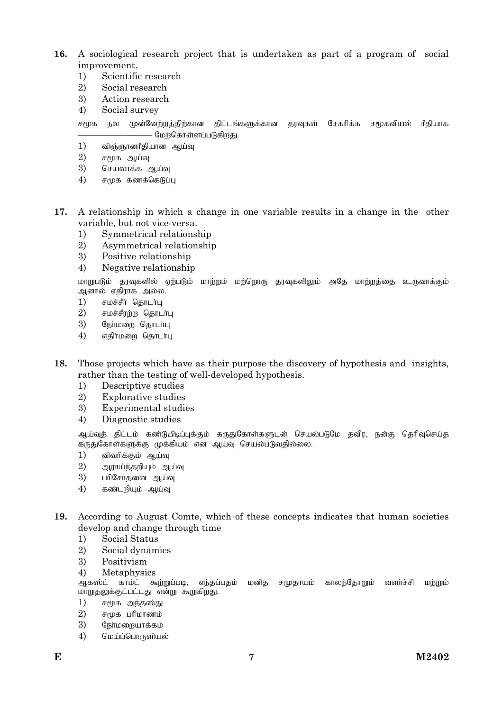- **16.** A sociological research project that is undertaken as part of a program of social improvement.
	- 1) Scientific research
	- 2) Social research
	- 3) Action research
	- 4) Social survey
	- சமூக நல முன்னேற்றத்திற்கான திட்டங்களுக்கான தரவுகள் சேகரிக்க சமூகவியல் ரீதியாக — மேற்கொள்ளப்படுகிறது.
	- $1$ ) விஞ்ஞானரீகியான ஆய்வ
	- $2)$  சமூக ஆய்வு
	- $3)$  செயலாக்க ஆய்வு
	- $4)$  சமூக கணக்கெடுப்பு
- **17.** A relationship in which a change in one variable results in a change in the other variable, but not vice-versa.
	- 1) Symmetrical relationship
	- 2) Asymmetrical relationship
	- 3) Positive relationship
	- 4) Negative relationship

மாறுபடும் தரவுகளில் ஏற்படும் மாற்றம் மற்றொரு தரவுகளிலும் அதே மாற்றத்தை உருவாக்கும் ஆனால் எதிராக அல்ல.

- $1)$  சமச்சீர் தொடர்பு
- $2)$  சமச்சீரற்ற தொடர்பு
- $3)$  நேர்மறை தொடர்பு
- $4$ ) எதிர்மறை தொடர்பு
- **18.** Those projects which have as their purpose the discovery of hypothesis and insights, rather than the testing of well-developed hypothesis.
	- 1) Descriptive studies
	- 2) Explorative studies
	- 3) Experimental studies
	- 4) Diagnostic studies

ஆய்வுத் திட்டம் கண்டு*பி*டிப்புக்கும் கருதுகோள்களுடன் செயல்படுமே தவிர, நன்கு தெரிவுசெய்த கருதுகோள்களுக்கு முக்கியம் என ஆய்வு செயல்படுவதில்லை.

- $1)$  விவரிக்கும் ஆய்வு
- $2)$  அராய்ந்தறியும் ஆய்வு
- 3) பரிசோதனை ஆய்வு
- $4)$  கண்டறியும் ஆய்வு
- **19.** According to August Comte, which of these concepts indicates that human societies develop and change through time
	- 1) Social Status
	- 2) Social dynamics
	- 3) Positivism
	- 4) Metaphysics

ஆகஸ்ட் காம்ட் கூற்றுப்படி, எந்தப்பதம் மனித சமுதாயம் காலந்தோறும் வளாச்சி மற்றும் மாறுதலுக்குட்பட்டது என்று கூறுகிறது.

- $1)$  சமூக அந்தஸ்து
- $2)$   $r \mu \delta$  unterrowable
- $3)$  கூர்மறையாக்கம்
- $4)$  மெய்ப்பொருளியல்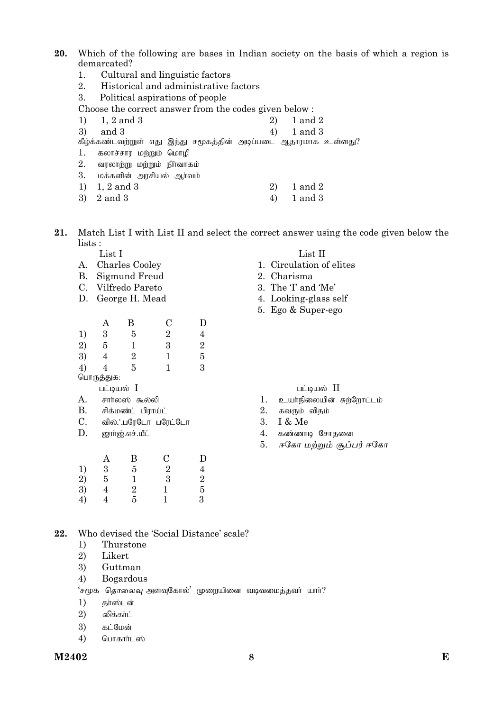20. Which of the following are bases in Indian society on the basis of which a region is demarcated?

- Cultural and linguistic factors  $1.$
- 2. Historical and administrative factors
- 3. Political aspirations of people

Choose the correct answer from the codes given below:

|    | 1) 1, 2 and 3                                                   | 2) | 1 and 2     |
|----|-----------------------------------------------------------------|----|-------------|
| 3) | and 3                                                           | 4) | $1$ and $3$ |
|    | கீழ்க்கண்டவற்றுள் எது இந்து சமூகத்தின் அடிப்படை ஆதாரமாக உள்ளது? |    |             |
| 1. | கலாச்சார மற்றும் மொழி                                           |    |             |
| 2. | வரலாற்று மற்றும் நிர்வாகம்                                      |    |             |
| 3. | மக்களின் அரசியல் ஆர்வம்                                         |    |             |
| 1) | 1, 2 and 3                                                      | 2) | 1 and 2     |
| 3) | $2$ and $3$                                                     | 4) | 1 and 3     |

 $21.$ Match List I with List II and select the correct answer using the code given below the lists :

List I

- A. Charles Cooley
- **B.** Sigmund Freud
- C. Vilfredo Pareto
- D. George H. Mead

|                                         | А          | В | С | D |
|-----------------------------------------|------------|---|---|---|
| 1)                                      | 3          | 5 | 2 | 4 |
|                                         | 5          | 1 | 3 | 2 |
| $\begin{array}{c} 2) \\ 3) \end{array}$ |            | 2 | 1 | 5 |
| 4)                                      |            | 5 | 1 | 3 |
|                                         | பொருத்துக: |   |   |   |
|                                         | . .        | т |   |   |

பட்டியல்  $I$ 

- A. சார்லஸ் கூல்லி
- $\mathbf{B}$ . சிக்மண்ட் பிராய்ட்
- $C_{\cdot}$ வில். பரேடோ பரேட்டோ
- D. ஜார்ஜ்.எச்.மீட்

|                      | A                       | Β             | С             | D                                          |
|----------------------|-------------------------|---------------|---------------|--------------------------------------------|
|                      | $\frac{3}{5}$           | 5             | $\frac{2}{3}$ | $\overline{4}$                             |
|                      |                         |               |               | $\begin{array}{c} 2 \\ 5 \\ 3 \end{array}$ |
|                      | $\overline{\mathbf{4}}$ | $\frac{1}{2}$ |               |                                            |
| 1)<br>2)<br>3)<br>4) | 4                       |               | 1             |                                            |

# List II

- 1. Circulation of elites
- 2. Charisma
- 3. The T and 'Me'
- 4. Looking-glass self
- 5. Ego & Super-ego

பட்டியல் II

- 1. உயர்நிலையின் சுற்றோட்டம்
- 2. கவரும் விதம்
- 3.  $I & Me$
- 4. கண்ணாடி சோகனை
- ஈகோ மற்றும் சூப்பர் ஈகோ 5.

Who devised the 'Social Distance' scale? 22.

- Thurstone  $1)$
- 2) Likert
- 3) Guttman
- Bogardous  $4)$

'சமூக தொலைவு அளவுகோல்' முறையினை வடிவமைத்தவா் யாா்?

- தர்ஸ்டன் 1)
- 2) லிக்கா்ட்
- 3) கட்மேன்
- $4)$ பொகார்டஸ்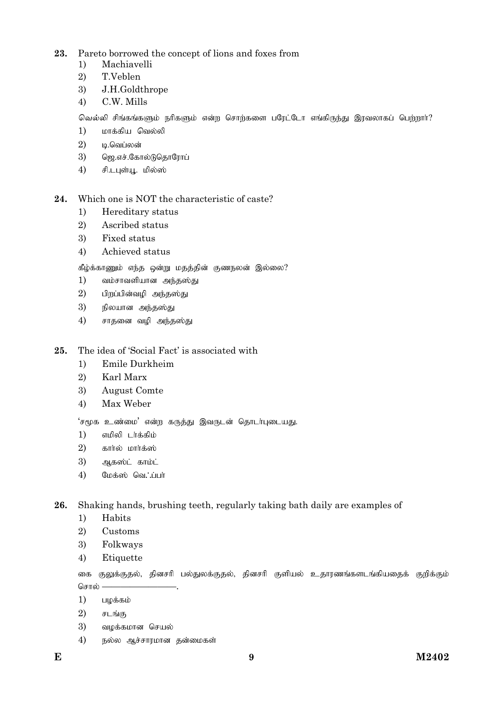- 23. Pareto borrowed the concept of lions and foxes from
	- Machiavelli  $1)$
	- 2) T.Veblen
	- 3) J.H.Goldthrope
	- $4)$ C.W. Mills

வெல்லி சிங்கங்களும் நரிகளும் என்ற சொற்களை பரேட்டோ எங்கிருந்து இரவலாகப் பெற்றார்?

- $1)$ மாக்கிய வெல்லி
- $\overline{2}$ ம.வெப்லன்
- $\overline{3}$ ) ஜெ.எச்.கோல்டுதொரோப்
- 4) சி.டபுள்யூ. மில்ஸ்

Which one is NOT the characteristic of caste? 24.

- Hereditary status  $1)$
- $2)$ Ascribed status
- $\overline{3}$ ) Fixed status
- Achieved status 4)

கீழ்க்காணும் எந்த ஒன்று மதத்தின் குணநலன் இல்லை?

- வம்சாவளியான அந்தஸ்து  $1)$
- 2) பிறப்பின்வழி அந்தஸ்து
- 3) நிலயான அந்தஸ்து
- $4)$ சாதனை வழி அந்தஸ்து

### 25. The idea of 'Social Fact' is associated with

- $1)$ Emile Durkheim
- 2) Karl Marx
- 3) **August Comte**
- Max Weber  $4)$

'சமூக உண்மை' என்ற கருக்கு இவருடன் கொடர்படையது.

- எமிலி டர்க்கிம்  $1)$
- 2) கார்ல் மார்க்ஸ்
- 3) ஆகஸ்ட் காம்ட்
- $4)$ மேக்ஸ் வெ∴ப்பா்

26. Shaking hands, brushing teeth, regularly taking bath daily are examples of

- Habits  $1)$
- 2) Customs
- 3) Folkways
- $4)$ Etiquette

குலுக்குதல், தினசரி பல்துலக்குதல், தினசரி குளியல் உதாரணங்களடங்கியதைக் குறிக்கும் கை சொல் –

- $1)$ பழக்கம்
- 2) சடங்கு
- 3) வழக்கமான செயல்
- நல்ல ஆச்சாரமான தன்மைகள் 4)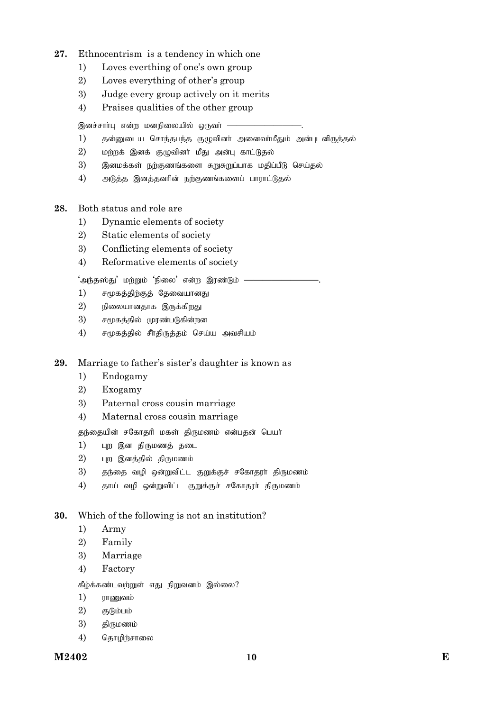## **27.** Ethnocentrism is a tendency in which one

- 1) Loves everthing of one's own group
- 2) Loves everything of other's group
- 3) Judge every group actively on it merits
- 4) Praises qualities of the other group

இனச்சாா்பு என்ற மனநிலையில் ஒருவா் —

- $1$ ) தன்னுடைய சொந்தபந்த குழுவினர் அனைவர்மீதும் அன்புடனிருத்தல்
- $2$ ) மற்றக் இனக் குழுவினர் மீது அன்பு காட்டுதல்
- 3) இனமக்கள் நற்குணங்களை சுறுசுறுப்பாக மதிப்பீடு செய்தல்
- $4$ ) அடுத்த இனத்தவரின் நற்குணங்களைப் பாராட்டுதல்
- **28.** Both status and role are
	- 1) Dynamic elements of society
	- 2) Static elements of society
	- 3) Conflicting elements of society
	- 4) Reformative elements of society

'அந்தஸ்து' மற்றும் 'நிலை' என்ற இரண்டும் *–* 

- $1$ ) சமூகத்திற்குத் தேவையானது
- $2$ ) நிலையானதாக இருக்கிறது
- 3) சமூகத்தில் முரண்படுகின்றன
- $4$ ) சமூகத்தில் சீர்திருத்தம் செய்ய அவசியம்
- **29.** Marriage to father's sister's daughter is known as
	- 1) Endogamy
	- 2) Exogamy
	- 3) Paternal cross cousin marriage
	- 4) Maternal cross cousin marriage

தந்தையின் சகோதரி மகள் திருமணம் என்பதன் பெயர்

- 1) புற இன திருமணத் தடை
- $2)$  புற இனத்தில் திருமணம்
- 3) தந்தை வழி ஒன்றுவிட்ட குறுக்குச் சகோதரா் திருமணம்
- $4$ ) தாய் வழி ஒன்றுவிட்ட குறுக்குச் சகோதரர் திருமணம்

## **30.** Which of the following is not an institution?

- 1) Army
- 2) Family
- 3) Marriage
- 4) Factory

கீழ்க்கண்டவற்றுள் எது நிறுவனம் இல்லை?

- 1) uhZtk;
- $2)$  சூடும்பம்
- $3)$  கிருமணம்
- 4) தொழிற்சாலை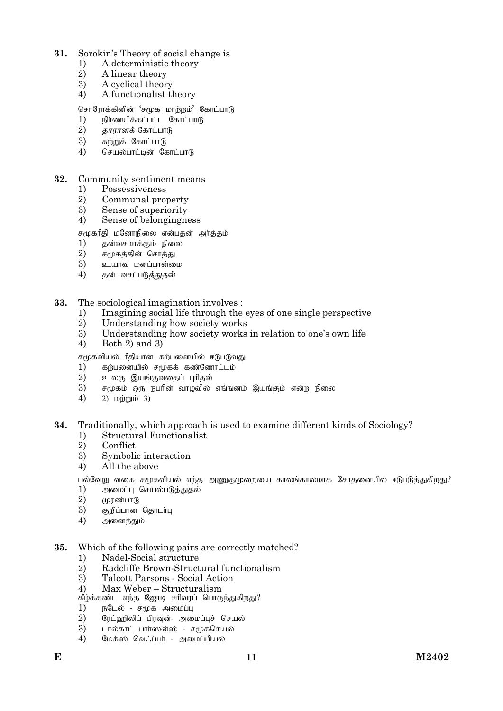### $31$ Sorokin's Theory of social change is

- A deterministic theory  $\left( \right)$
- 2) A linear theory
- 3) A cyclical theory
- 4) A functionalist theory

### சொரோக்கினின் 'சமூக மாற்றம்' கோட்பாடு

- $1)$ நிர்ணயிக்கப்பட்ட கோட்பாடு
- $\overline{2}$ *காராளக்* கோட்பாடு
- 3) சுற்றுக் கோட்பாடு
- $4)$ செயல்பாட்டின் கோட்பாடு

#### 32. Community sentiment means

- $1)$ Possessiveness
- $\overline{2}$ Communal property
- $\overline{3}$ ) Sense of superiority
- $4)$ Sense of belongingness

### சமூகரீதி மனோநிலை என்பதன் அர்த்தம்

- $1)$ தன்வசமாக்கும் நிலை
- $\overline{2}$ சமூகத்தின் சொத்து
- 3) உயாவு மனப்பான்மை
- 4) கன் வசப்படு*க்கு*கல்

#### 33. The sociological imagination involves :

- $\left( \right)$ Imagining social life through the eves of one single perspective
- $\overline{2}$ Understanding how society works
- 3) Understanding how society works in relation to one's own life
- $4)$ Both  $2)$  and  $3)$

சமூகவியல் ரீதியான கற்பனையில் ஈடுபடுவது

- $\left( \right)$ கர்பனையில் சமூகக் கண்ணோட்டம்
- 2) உலகு இயங்குவதைப் புரிதல்
- 3) சமூகம் ஒரு நபரின் வாழ்வில் எங்ஙனம் இயங்கும் என்ற நிலை
- $4)$ 2)  $\text{L}$   $\text{D}$   $\text{L}$   $\text{D}$   $\text{L}$   $\text{L}$   $\text{L}$   $\text{L}$   $\text{L}$   $\text{L}$   $\text{L}$   $\text{L}$   $\text{L}$   $\text{L}$   $\text{L}$   $\text{L}$   $\text{L}$   $\text{L}$   $\text{L}$   $\text{L}$   $\text{L}$   $\text{L}$   $\text{L}$   $\text{L}$   $\text{L}$   $\text{L}$   $\text{L}$   $\$

### 34 Traditionally, which approach is used to examine different kinds of Sociology?

- **Structural Functionalist**  $1)$
- $\overline{2}$ Conflict
- 3) Symbolic interaction
- All the above  $4)$

பல்வேறு வகை சமூகவியல் எந்த அணுகுமுறையை காலங்காலமாக சோதனையில் ஈடுபடுத்துகிறது?

- $1)$ அமைப்பு செயல்படுத்துதல்
- $\overline{2}$ முரண்பாடு
- 3) குறிப்பான தொடர்பு
- 4) அனைத்தும்

#### 35. Which of the following pairs are correctly matched?

- Nadel-Social structure  $1)$
- $\overline{2}$ Radcliffe Brown-Structural functionalism
- $\mathfrak{Z}$ Talcott Parsons - Social Action
- $4)$ Max Weber - Structuralism

கீழ்க்கண்ட எந்த ஜோடி சரிவரப் பொருந்துகிறது?

- $1)$ நடேல் - சமூக அமைப்பு
- $2)$ ரேட்வரிலிப் பிரவுன்- அமைப்புச் செயல்
- $\overline{3}$ ) டால்காட் பார்ஸன்ஸ் - சமூகசெயல்
- 4) மேக்ஸ் வெ∴ப்பா் - அமைப்பியல்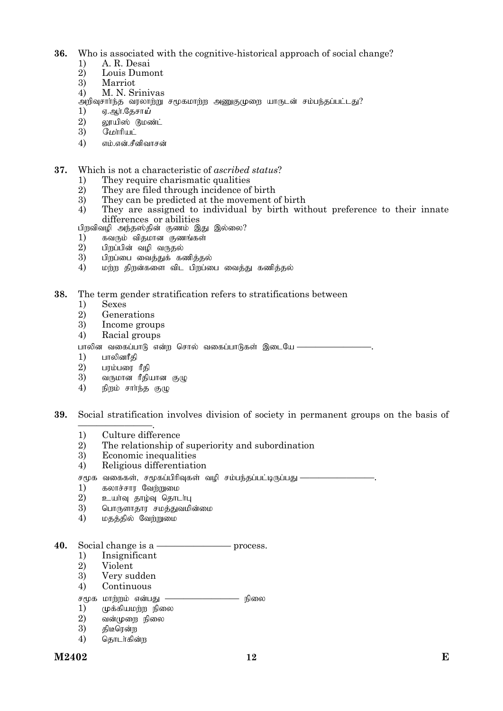- **36.** Who is associated with the cognitive-historical approach of social change?
	- 1) A. R. Desai
	- 2) Louis Dumont
	- **Marriot**
	- 4) M. N. Srinivas
	- $\omega$ றிவுசாா்ந்த வரலாற்று சமூகமாற்ற அணுகுமுறை யாருடன் சம்பந்தப்பட்டது?
	- $\begin{array}{lll} 1) & \mathfrak g.$ ஆர்.தேசா*ய்*<br> $2) & \mathfrak{v}$ ாயிஸ் நீம
	- $(2)$  லூயிஸ் டூமண்ட்<br>3) மோரியட்
	- $\begin{array}{lll} 3) & \text{G} \text{L} \text{d} \text{d} \text{d} \ \text{d} \text{d} \text{d} \text{e} \text{d} \text{e} \text{d} \text{e} \text{d} \text{e} \text{d} \text{e} \text{d} \text{e} \text{d} \text{e} \text{d} \text{e} \text{d} \text{e} \text{d} \text{e} \text{d} \text{e} \text{d} \text{e} \text{d} \text{e} \text{d} \text{e} \text{d} \text{e} \text{d} \text{e} \text{d} \text{e} \text$
	- எம்.என்.சீனிவாசன்

### **37.** Which is not a characteristic of *ascribed status*?

- 1) They require charismatic qualities<br>2) They are filed through incidence of
- 2) They are filed through incidence of birth<br>3) They can be predicted at the movement of
- $3)$  They can be predicted at the movement of birth  $4)$  They are assigned to individual by birth wit
- They are assigned to individual by birth without preference to their innate differences or abilities
- gpwtptop me;j];jpd; Fzk; ,J ,y;iy?
- 1) கவரும் விதமான குணங்கள்<br>2) பிறப்பின் வழி வருதல்
- 
- 
- 2) பிறப்பின் வழி வருதல்<br>3) பிறப்பை வைத்துக் கணித்தல்<br>4) மற்ற திறன்களை விட பிறப்பை வைத்து கணித்தல்

### **38.** The term gender stratification refers to stratifications between

- 1) Sexes
- 2) Generations
- 3) Income groups
- 4) Racial groups

பாலின வகைப்பாடு என்ற சொல் வகைப்பாடுகள் இடையே $-$ 

- $\begin{array}{lll} 1) & \text{in} \mathbb{S} \ 2) & \text{in} \ \end{array}$
- $2$ ) பரம்பரை ரீதி<br>3) வருமான ரீதி
- வருமான ரீதியான குழு
- $4)$  நிறம் சார்ந்த குழு

### **39.** Social stratification involves division of society in permanent groups on the basis of

- ————————. 1) Culture difference
- 2) The relationship of superiority and subordination
- 3) Economic inequalities
- 4) Religious differentiation

சமூக வகைகள், சமூகப்பிரிவுகள் வழி சம்பந்தப்பட்டிருப்பது $-$ 

- 1) fyhr;rhu Ntw;Wik
- $\overline{2}$ ) உயாவு தாழ்வு தொடா்பு<br> $\overline{3}$ ) வொருளாகாா சமக்குவமி
- பொருளாதார சமத்துவமின்மை
- $4)$  மதத்தில் வேற்றுமை

## **40.** Social change is a ———————— process.

- 1) Insignificant
- 2) Violent
- 3) Very sudden
- 4) Continuous
- சமூக மாற்றம் என்பது ——————————— நிலை<br>1) முக்கியமற்ற நிலை
- முக்கியமற்ற நிலை
- $\left( \begin{array}{lll} 2) \quad & \text{ and } \quad \text{ for any } \quad \mathbf{0} \ 3) \quad & \text{ then } \quad \mathbf{0} \end{array} \right)$
- திடீரென்ற
- 4) தொடர்கின்ற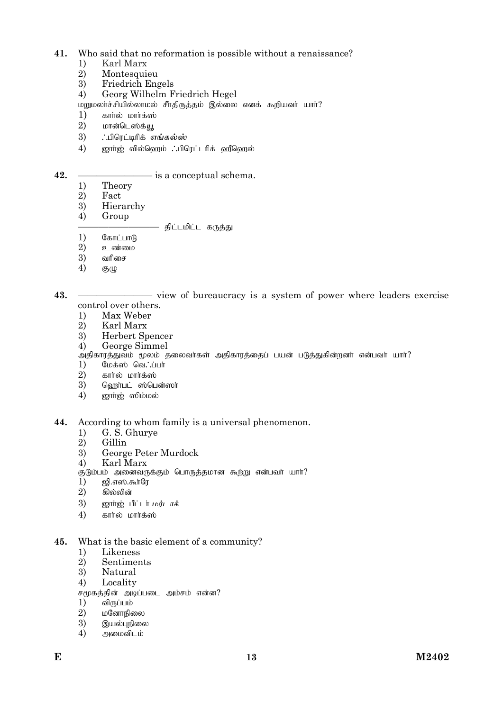### $41$ Who said that no reformation is possible without a renaissance?

- $1)$ Karl Marx
- $2)$ Montesquieu
- $\overline{3}$ ) Friedrich Engels
- $4)$ Georg Wilhelm Friedrich Hegel

மறுமலர்ச்சியில்லாமல் சீர்திருத்தம் இல்லை எனக் கூறியவர் யார்?

- $1)$ கார்ல் மார்க்ஸ்
- $\overline{2}$ ) மான்டெஸ்க்ய
- $3)$ ∴பிாெட்டிரிக் *எங்கல்ஸ்*
- $4)$ ஜார்ஜ் வில்ஹெம் . பிரெட்டரிக் ஹீஹெல்

### $-$  is a conceptual schema.

 $1)$ Theory

42.

- $\overline{2}$ Fact
- $\overline{3}$ Hierarchy
- $4)$ Group

### – திட்டமிட்ட கருத்து

- $1)$ கோட்பாடு
- $\overline{2}$ உண்மை
- 3) வரிசை
- $4)$  $(5)(1)$

43. - view of bureaucracy is a system of power where leaders exercise control over others.

- Max Weber  $1)$
- 2) Karl Marx
- 3) **Herbert Spencer**
- $4)$ George Simmel

அதிகாரத்துவம் மூலம் தலைவா்கள் அதிகாரத்தைப் பயன் படுத்துகின்றனா் என்பவா் யாா்?

- மேக்ஸ் வெ∴ப்பா்  $1)$
- $\overline{2}$ ) கார்ல் மார்க்ஸ்
- $\overline{3}$ ) வெராபட் ஸ்பென்ஸா்
- $\overline{4}$ ஜார்ஜ் ஸிம்மல்

44. According to whom family is a universal phenomenon.

- G. S. Ghurve  $1)$
- $\dot{2}$ Gillin
- George Peter Murdock  $\overline{3}$
- $4)$ Karl Marx

குடும்பம் அனைவருக்கும் பொருத்தமான கூற்று என்பவா் யாா்?

- ஜி.எஸ்.கூர்ரே 1)
- 2) கில்லின்
- 3) ஜார்ஜ் பீட்டர் மர்டாக்
- $4)$ கார்ல் மார்க்ஸ்

### What is the basic element of a community? 45.

- $1)$ Likeness
- 2) Sentiments
- 3) Natural
- $4)$ Locality
- சமூகத்தின் அடிப்படை அம்சம் என்ன?
- $1)$ விருப்பம்
- 2) மனோநிலை
- 3) இயல்புநிலை
- $\overline{4}$ அமைவிடம்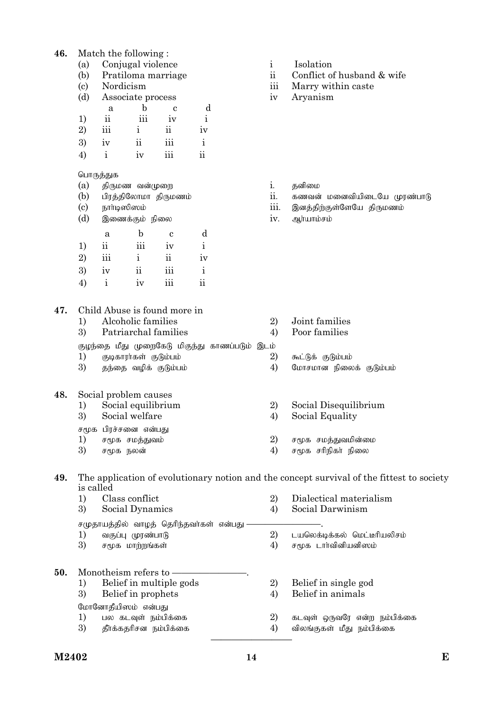## **46.** Match the following :

- (a) Conjugal violence i Isolation
- 
- 
- (d) Associate process iv Aryanism

|    | a                        | b         | с               |    |
|----|--------------------------|-----------|-----------------|----|
| 1) | $\overline{\textbf{ii}}$ | 111       | $\bullet$<br>1V |    |
| 2) | iii                      | 1         | 11              | ıv |
| 3) | iv                       | . .<br>11 | iii             |    |
|    | 1                        | 1V        | 111             | 11 |

# பொருத்துக

- (a) jpUkz td;Kiw i. jdpik
- 
- 
- (d) ,izf;Fk; epiy iv. Mh;ahk;rk;

|    | a                       | $\mathbf b$        | c              | d           |
|----|-------------------------|--------------------|----------------|-------------|
| 1) | $\overline{\mathbf{u}}$ | $\ddotsc$<br>iii   | iv             | i           |
| 2) | iii                     | $\mathbf{i}$       | $\ddot{\rm n}$ | iv          |
| 3) | iv                      | $\ddot{\text{ii}}$ | iii            | $\mathbf i$ |
| 4) | $\mathbf{i}$            | iv                 | iii            | 11          |

- 
- (b) Pratiloma marriage ii Conflict of husband & wife
- (c) Nordicism iii Marry within caste
	-

- 
- (b) பிரத்திலோமா திருமணம் ii. கணவன் மனைவியிடையே முரண்பாடு
- (c) ehh;b]p]k; iii. ,dj;jpw;Fs;NsNa jpUkzk;
	-

**47.** Child Abuse is found more in 1) Alcoholic families 2) Joint families 3) Patriarchal families 4) Poor families குழந்தை மீது முறைகேடு மிகுந்து காணப்படும் இடம் 1) Fbfhuh;fs; FLk;gk; 2) \$l;Lf; FLk;gk; 3) குந்தை வழிக் குடும்பம் 4) மோசமான நிலைக் குடும்பம் **48.** Social problem causes 1) Social equilibrium 2) Social Disequilibrium 3) Social welfare 4) Social Equality சமூக பிரச்சனை என்பது<br>1) சமூக சமத்துவம் 1) r%f rkj;Jtk; 2) r%f rkj;Jtkpd;ik சமூக நலன்  $\overline{3}$  and  $\overline{4}$  and  $\overline{4}$  and  $\overline{4}$  and  $\overline{4}$  and  $\overline{4}$  and  $\overline{4}$  and  $\overline{4}$  and  $\overline{4}$  and  $\overline{4}$  and  $\overline{4}$  and  $\overline{4}$  and  $\overline{4}$  and  $\overline{4}$  and  $\overline{4}$  and  $\overline{4}$  and  $\$ 

### **49.** The application of evolutionary notion and the concept survival of the fittest to society is called

|     | 1) | Class conflict                                               | 2)                | Dialectical materialism      |
|-----|----|--------------------------------------------------------------|-------------------|------------------------------|
|     | 3) | Social Dynamics                                              | $\left( 4\right)$ | Social Darwinism             |
|     | 1) | சமுதாயத்தில் வாழத் தெரிந்தவர்கள் என்பது<br>வகுப்பு முரண்பாடு | 2)                | டயலெக்டிக்கல் மெட்டீரியலிசம் |
|     | 3) | சமூக மாற்றங்கள்                                              | 4)                | சமூக டார்வினியனிஸம்          |
| 50. |    | Monotheism refers to -                                       |                   |                              |
|     | 1) | Belief in multiple gods                                      | 2)                | Belief in single god         |
|     | 3) | Belief in prophets                                           | 4)                | Belief in animals            |
|     |    | மோனோதீயிஸம் என்பது                                           |                   |                              |
|     | 1) | பல கடவுள் நம்பிக்கை                                          | 2)                | கடவுள் ஒருவரே என்ற நம்பிக்கை |
|     | 3) | தீர்க்கதரிசன நம்பிக்கை                                       | 4)                | விலங்குகள் மீது நம்பிக்கை    |
|     |    |                                                              |                   |                              |